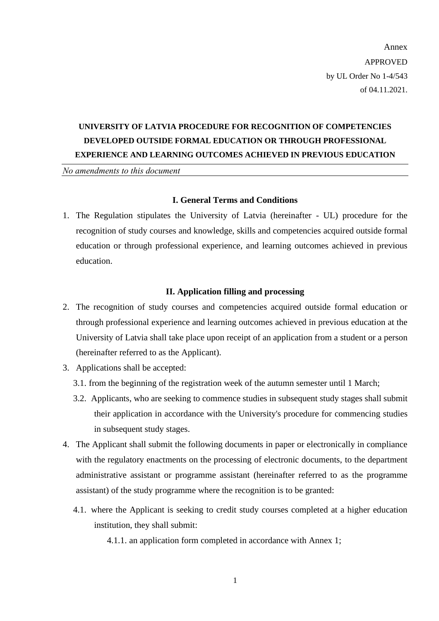Annex APPROVED by UL Order No 1-4/543 of 04.11.2021.

## **UNIVERSITY OF LATVIA PROCEDURE FOR RECOGNITION OF COMPETENCIES DEVELOPED OUTSIDE FORMAL EDUCATION OR THROUGH PROFESSIONAL EXPERIENCE AND LEARNING OUTCOMES ACHIEVED IN PREVIOUS EDUCATION**

*No amendments to this document*

### **I. General Terms and Conditions**

1. The Regulation stipulates the University of Latvia (hereinafter - UL) procedure for the recognition of study courses and knowledge, skills and competencies acquired outside formal education or through professional experience, and learning outcomes achieved in previous education.

#### **II. Application filling and processing**

- 2. The recognition of study courses and competencies acquired outside formal education or through professional experience and learning outcomes achieved in previous education at the University of Latvia shall take place upon receipt of an application from a student or a person (hereinafter referred to as the Applicant).
- 3. Applications shall be accepted:
	- 3.1. from the beginning of the registration week of the autumn semester until 1 March;
	- 3.2. Applicants, who are seeking to commence studies in subsequent study stages shall submit their application in accordance with the University's procedure for commencing studies in subsequent study stages.
- 4. The Applicant shall submit the following documents in paper or electronically in compliance with the regulatory enactments on the processing of electronic documents, to the department administrative assistant or programme assistant (hereinafter referred to as the programme assistant) of the study programme where the recognition is to be granted:
	- 4.1. where the Applicant is seeking to credit study courses completed at a higher education institution, they shall submit:

4.1.1. an application form completed in accordance with Annex 1;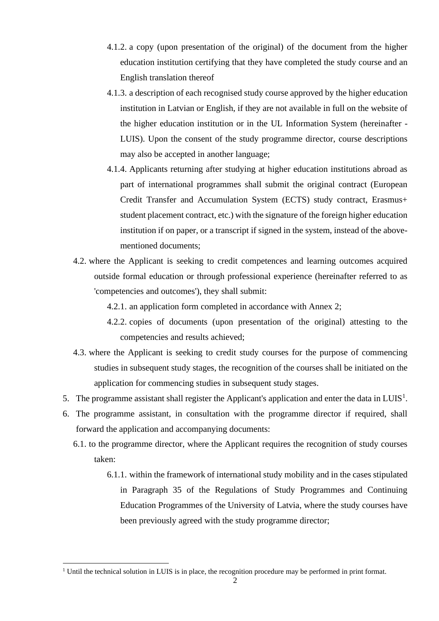- 4.1.2. a copy (upon presentation of the original) of the document from the higher education institution certifying that they have completed the study course and an English translation thereof
- 4.1.3. a description of each recognised study course approved by the higher education institution in Latvian or English, if they are not available in full on the website of the higher education institution or in the UL Information System (hereinafter - LUIS). Upon the consent of the study programme director, course descriptions may also be accepted in another language;
- 4.1.4. Applicants returning after studying at higher education institutions abroad as part of international programmes shall submit the original contract (European Credit Transfer and Accumulation System (ECTS) study contract, Erasmus+ student placement contract, etc.) with the signature of the foreign higher education institution if on paper, or a transcript if signed in the system, instead of the abovementioned documents;
- 4.2. where the Applicant is seeking to credit competences and learning outcomes acquired outside formal education or through professional experience (hereinafter referred to as 'competencies and outcomes'), they shall submit:
	- 4.2.1. an application form completed in accordance with Annex 2;
	- 4.2.2. copies of documents (upon presentation of the original) attesting to the competencies and results achieved;
- 4.3. where the Applicant is seeking to credit study courses for the purpose of commencing studies in subsequent study stages, the recognition of the courses shall be initiated on the application for commencing studies in subsequent study stages.
- 5. The programme assistant shall register the Applicant's application and enter the data in LUIS<sup>1</sup>.
- 6. The programme assistant, in consultation with the programme director if required, shall forward the application and accompanying documents:
	- 6.1. to the programme director, where the Applicant requires the recognition of study courses taken:
		- 6.1.1. within the framework of international study mobility and in the cases stipulated in Paragraph 35 of the Regulations of Study Programmes and Continuing Education Programmes of the University of Latvia, where the study courses have been previously agreed with the study programme director;

<sup>&</sup>lt;sup>1</sup> Until the technical solution in LUIS is in place, the recognition procedure may be performed in print format.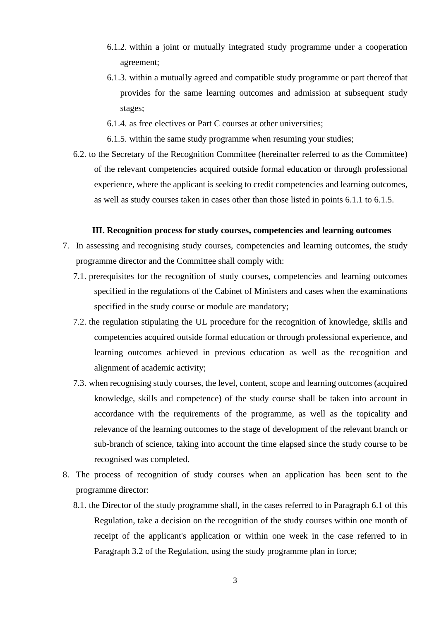- 6.1.2. within a joint or mutually integrated study programme under a cooperation agreement;
- 6.1.3. within a mutually agreed and compatible study programme or part thereof that provides for the same learning outcomes and admission at subsequent study stages;
- 6.1.4. as free electives or Part C courses at other universities;
- 6.1.5. within the same study programme when resuming your studies;
- 6.2. to the Secretary of the Recognition Committee (hereinafter referred to as the Committee) of the relevant competencies acquired outside formal education or through professional experience, where the applicant is seeking to credit competencies and learning outcomes, as well as study courses taken in cases other than those listed in points 6.1.1 to 6.1.5.

### **III. Recognition process for study courses, competencies and learning outcomes**

- 7. In assessing and recognising study courses, competencies and learning outcomes, the study programme director and the Committee shall comply with:
	- 7.1. prerequisites for the recognition of study courses, competencies and learning outcomes specified in the regulations of the Cabinet of Ministers and cases when the examinations specified in the study course or module are mandatory;
	- 7.2. the regulation stipulating the UL procedure for the recognition of knowledge, skills and competencies acquired outside formal education or through professional experience, and learning outcomes achieved in previous education as well as the recognition and alignment of academic activity;
	- 7.3. when recognising study courses, the level, content, scope and learning outcomes (acquired knowledge, skills and competence) of the study course shall be taken into account in accordance with the requirements of the programme, as well as the topicality and relevance of the learning outcomes to the stage of development of the relevant branch or sub-branch of science, taking into account the time elapsed since the study course to be recognised was completed.
- 8. The process of recognition of study courses when an application has been sent to the programme director:
	- 8.1. the Director of the study programme shall, in the cases referred to in Paragraph 6.1 of this Regulation, take a decision on the recognition of the study courses within one month of receipt of the applicant's application or within one week in the case referred to in Paragraph 3.2 of the Regulation, using the study programme plan in force;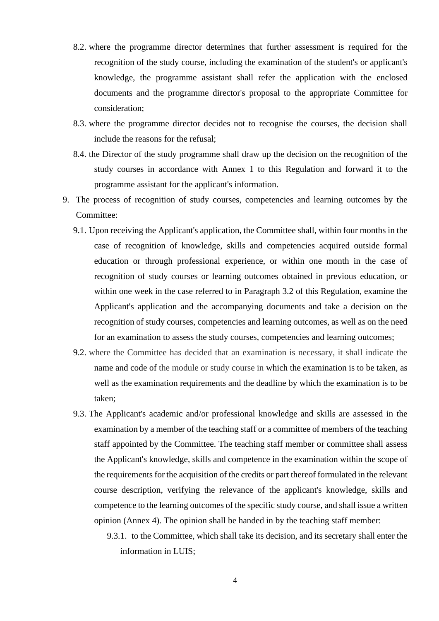- 8.2. where the programme director determines that further assessment is required for the recognition of the study course, including the examination of the student's or applicant's knowledge, the programme assistant shall refer the application with the enclosed documents and the programme director's proposal to the appropriate Committee for consideration;
- 8.3. where the programme director decides not to recognise the courses, the decision shall include the reasons for the refusal;
- 8.4. the Director of the study programme shall draw up the decision on the recognition of the study courses in accordance with Annex 1 to this Regulation and forward it to the programme assistant for the applicant's information.
- 9. The process of recognition of study courses, competencies and learning outcomes by the Committee:
	- 9.1. Upon receiving the Applicant's application, the Committee shall, within four months in the case of recognition of knowledge, skills and competencies acquired outside formal education or through professional experience, or within one month in the case of recognition of study courses or learning outcomes obtained in previous education, or within one week in the case referred to in Paragraph 3.2 of this Regulation, examine the Applicant's application and the accompanying documents and take a decision on the recognition of study courses, competencies and learning outcomes, as well as on the need for an examination to assess the study courses, competencies and learning outcomes;
	- 9.2. where the Committee has decided that an examination is necessary, it shall indicate the name and code of the module or study course in which the examination is to be taken, as well as the examination requirements and the deadline by which the examination is to be taken;
	- 9.3. The Applicant's academic and/or professional knowledge and skills are assessed in the examination by a member of the teaching staff or a committee of members of the teaching staff appointed by the Committee. The teaching staff member or committee shall assess the Applicant's knowledge, skills and competence in the examination within the scope of the requirements for the acquisition of the credits or part thereof formulated in the relevant course description, verifying the relevance of the applicant's knowledge, skills and competence to the learning outcomes of the specific study course, and shall issue a written opinion (Annex 4). The opinion shall be handed in by the teaching staff member:
		- 9.3.1. to the Committee, which shall take its decision, and its secretary shall enter the information in LUIS;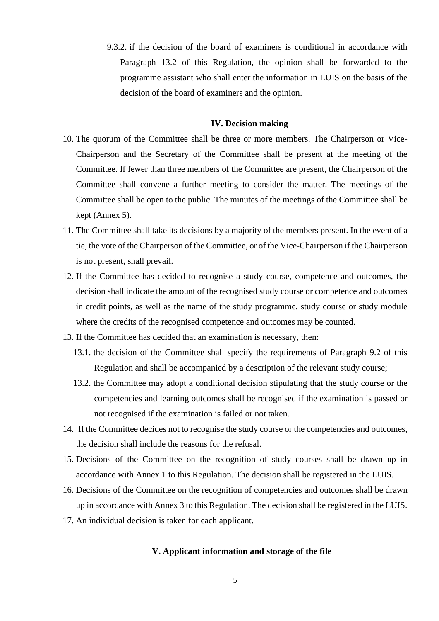9.3.2. if the decision of the board of examiners is conditional in accordance with Paragraph 13.2 of this Regulation, the opinion shall be forwarded to the programme assistant who shall enter the information in LUIS on the basis of the decision of the board of examiners and the opinion.

#### **IV. Decision making**

- 10. The quorum of the Committee shall be three or more members. The Chairperson or Vice-Chairperson and the Secretary of the Committee shall be present at the meeting of the Committee. If fewer than three members of the Committee are present, the Chairperson of the Committee shall convene a further meeting to consider the matter. The meetings of the Committee shall be open to the public. The minutes of the meetings of the Committee shall be kept (Annex 5).
- 11. The Committee shall take its decisions by a majority of the members present. In the event of a tie, the vote of the Chairperson of the Committee, or of the Vice-Chairperson if the Chairperson is not present, shall prevail.
- 12. If the Committee has decided to recognise a study course, competence and outcomes, the decision shall indicate the amount of the recognised study course or competence and outcomes in credit points, as well as the name of the study programme, study course or study module where the credits of the recognised competence and outcomes may be counted.
- 13. If the Committee has decided that an examination is necessary, then:
	- 13.1. the decision of the Committee shall specify the requirements of Paragraph 9.2 of this Regulation and shall be accompanied by a description of the relevant study course;
	- 13.2. the Committee may adopt a conditional decision stipulating that the study course or the competencies and learning outcomes shall be recognised if the examination is passed or not recognised if the examination is failed or not taken.
- 14. If the Committee decides not to recognise the study course or the competencies and outcomes, the decision shall include the reasons for the refusal.
- 15. Decisions of the Committee on the recognition of study courses shall be drawn up in accordance with Annex 1 to this Regulation. The decision shall be registered in the LUIS.
- 16. Decisions of the Committee on the recognition of competencies and outcomes shall be drawn up in accordance with Annex 3 to this Regulation. The decision shall be registered in the LUIS.
- 17. An individual decision is taken for each applicant.

#### **V. Applicant information and storage of the file**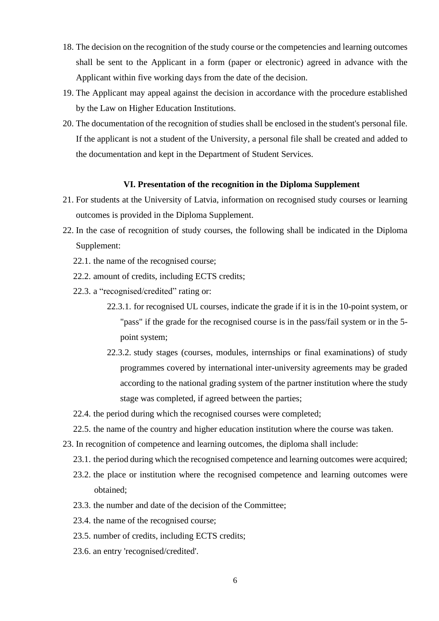- 18. The decision on the recognition of the study course or the competencies and learning outcomes shall be sent to the Applicant in a form (paper or electronic) agreed in advance with the Applicant within five working days from the date of the decision.
- 19. The Applicant may appeal against the decision in accordance with the procedure established by the Law on Higher Education Institutions.
- 20. The documentation of the recognition of studies shall be enclosed in the student's personal file. If the applicant is not a student of the University, a personal file shall be created and added to the documentation and kept in the Department of Student Services.

#### **VI. Presentation of the recognition in the Diploma Supplement**

- 21. For students at the University of Latvia, information on recognised study courses or learning outcomes is provided in the Diploma Supplement.
- 22. In the case of recognition of study courses, the following shall be indicated in the Diploma Supplement:
	- 22.1. the name of the recognised course;
	- 22.2. amount of credits, including ECTS credits;
	- 22.3. a "recognised/credited" rating or:
		- 22.3.1. for recognised UL courses, indicate the grade if it is in the 10-point system, or "pass" if the grade for the recognised course is in the pass/fail system or in the 5 point system;
		- 22.3.2. study stages (courses, modules, internships or final examinations) of study programmes covered by international inter-university agreements may be graded according to the national grading system of the partner institution where the study stage was completed, if agreed between the parties;
	- 22.4. the period during which the recognised courses were completed;
	- 22.5. the name of the country and higher education institution where the course was taken.
- 23. In recognition of competence and learning outcomes, the diploma shall include:
	- 23.1. the period during which the recognised competence and learning outcomes were acquired;
	- 23.2. the place or institution where the recognised competence and learning outcomes were obtained;
	- 23.3. the number and date of the decision of the Committee;
	- 23.4. the name of the recognised course;
	- 23.5. number of credits, including ECTS credits;
	- 23.6. an entry 'recognised/credited'.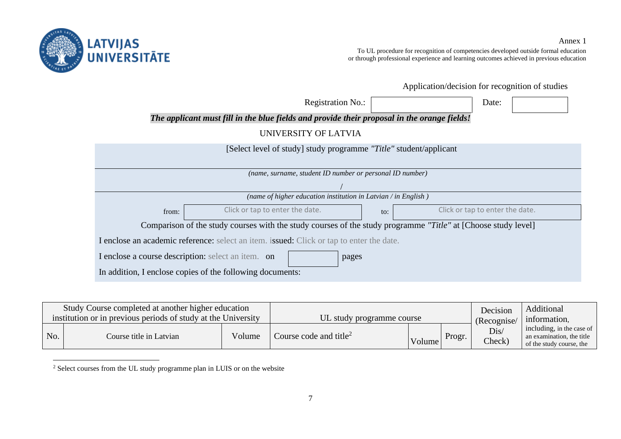

To UL procedure for recognition of competencies developed outside formal education or through professional experience and learning outcomes achieved in previous education

Application/decision for recognition of studies

| <b>Registration No.:</b>                                                                                      | Date:                                  |  |  |  |  |  |  |  |
|---------------------------------------------------------------------------------------------------------------|----------------------------------------|--|--|--|--|--|--|--|
| The applicant must fill in the blue fields and provide their proposal in the orange fields!                   |                                        |  |  |  |  |  |  |  |
| UNIVERSITY OF LATVIA                                                                                          |                                        |  |  |  |  |  |  |  |
| [Select level of study] study programme "Title" student/applicant                                             |                                        |  |  |  |  |  |  |  |
|                                                                                                               |                                        |  |  |  |  |  |  |  |
| (name, surname, student ID number or personal ID number)                                                      |                                        |  |  |  |  |  |  |  |
| (name of higher education institution in Latvian / in English)                                                |                                        |  |  |  |  |  |  |  |
| Click or tap to enter the date.<br>from:                                                                      | Click or tap to enter the date.<br>to: |  |  |  |  |  |  |  |
| Comparison of the study courses with the study courses of the study programme "Title" at [Choose study level] |                                        |  |  |  |  |  |  |  |
| I enclose an academic reference: select an item. issued: Click or tap to enter the date.                      |                                        |  |  |  |  |  |  |  |
| I enclose a course description: select an item. on<br>pages                                                   |                                        |  |  |  |  |  |  |  |
| In addition, I enclose copies of the following documents:                                                     |                                        |  |  |  |  |  |  |  |

| Study Course completed at another higher education            |                         | UL study programme course |                                    | Decision    | Additional   |                |                                                                                    |
|---------------------------------------------------------------|-------------------------|---------------------------|------------------------------------|-------------|--------------|----------------|------------------------------------------------------------------------------------|
| institution or in previous periods of study at the University |                         |                           |                                    | (Recognise/ | information, |                |                                                                                    |
| No.                                                           | Course title in Latvian | Volume                    | Course code and title <sup>2</sup> | Volume      | Progr.       | Dis/<br>Check) | including, in the case of<br>an examination, the title<br>of the study course, the |

<sup>&</sup>lt;sup>2</sup> Select courses from the UL study programme plan in LUIS or on the website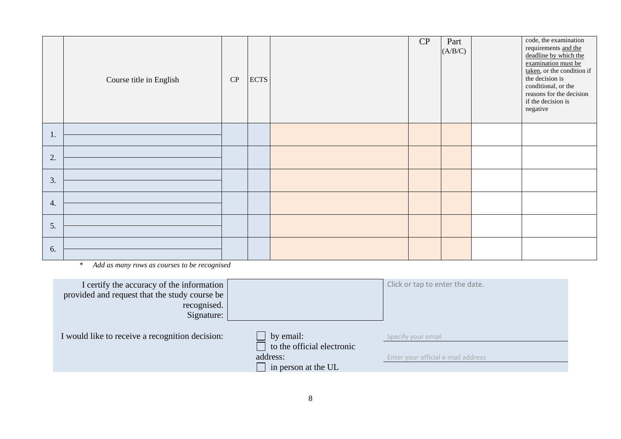|    | Course title in English | ${\bf CP}$ | <b>ECTS</b> | CP | Part<br>(A/B/C) | code, the examination<br>requirements and the<br>deadline by which the<br>examination must be<br>taken, or the condition if<br>the decision is<br>conditional, or the<br>reasons for the decision<br>if the decision is<br>negative |
|----|-------------------------|------------|-------------|----|-----------------|-------------------------------------------------------------------------------------------------------------------------------------------------------------------------------------------------------------------------------------|
| 1. |                         |            |             |    |                 |                                                                                                                                                                                                                                     |
| 2. |                         |            |             |    |                 |                                                                                                                                                                                                                                     |
| 3. |                         |            |             |    |                 |                                                                                                                                                                                                                                     |
| 4. |                         |            |             |    |                 |                                                                                                                                                                                                                                     |
| 5. |                         |            |             |    |                 |                                                                                                                                                                                                                                     |
| 6. |                         |            |             |    |                 |                                                                                                                                                                                                                                     |

\* *Add as many rows as courses to be recognised*

| I certify the accuracy of the information<br>provided and request that the study course be<br>recognised.<br>Signature: |                                                                                   | Click or tap to enter the date.                          |
|-------------------------------------------------------------------------------------------------------------------------|-----------------------------------------------------------------------------------|----------------------------------------------------------|
| I would like to receive a recognition decision:                                                                         | by email:<br>$\Box$ to the official electronic<br>address:<br>in person at the UL | Specify your email<br>Enter your official e-mail address |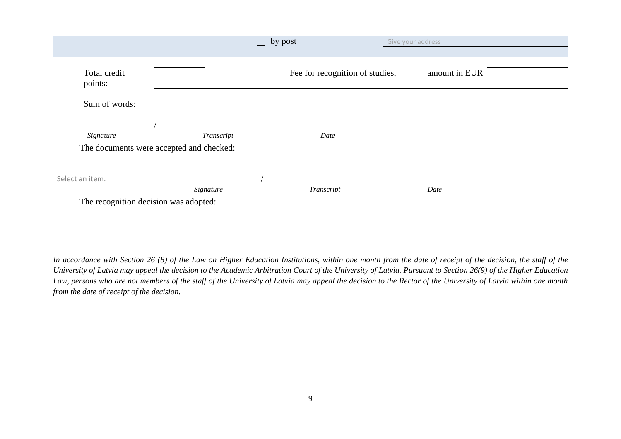|                                       |                                          | by post                         | Give your address |               |  |
|---------------------------------------|------------------------------------------|---------------------------------|-------------------|---------------|--|
|                                       |                                          |                                 |                   |               |  |
| Total credit<br>points:               |                                          | Fee for recognition of studies, |                   | amount in EUR |  |
| Sum of words:                         |                                          |                                 |                   |               |  |
|                                       |                                          |                                 |                   |               |  |
| Signature                             | Transcript                               | Date                            |                   |               |  |
|                                       | The documents were accepted and checked: |                                 |                   |               |  |
| Select an item.                       |                                          |                                 |                   |               |  |
|                                       | Signature                                | Transcript                      |                   | Date          |  |
| The recognition decision was adopted: |                                          |                                 |                   |               |  |

In accordance with Section 26 (8) of the Law on Higher Education Institutions, within one month from the date of receipt of the decision, the staff of the *University of Latvia may appeal the decision to the Academic Arbitration Court of the University of Latvia. Pursuant to Section 26(9) of the Higher Education Law, persons who are not members of the staff of the University of Latvia may appeal the decision to the Rector of the University of Latvia within one month from the date of receipt of the decision.*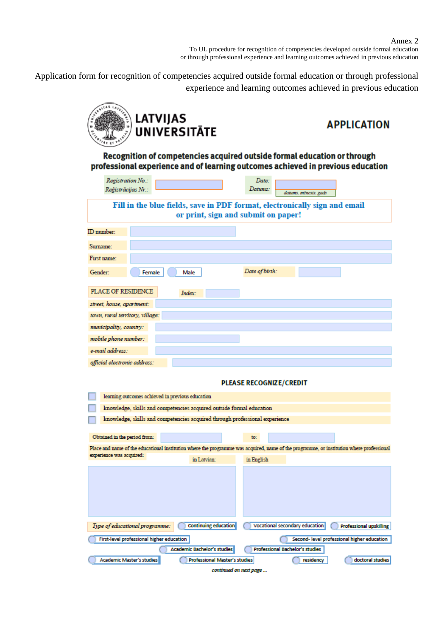Application form for recognition of competencies acquired outside formal education or through professional experience and learning outcomes achieved in previous education



# **APPLICATION**

Recognition of competencies acquired outside formal education or through professional experience and of learning outcomes achieved in previous education

| Registration No.:                                                          |                                                                             | Date:                                                                                                                                    |  |  |  |  |
|----------------------------------------------------------------------------|-----------------------------------------------------------------------------|------------------------------------------------------------------------------------------------------------------------------------------|--|--|--|--|
| Reģistrācijas Nr.:                                                         |                                                                             | Datums:<br>datums, mēnesis, gads                                                                                                         |  |  |  |  |
| Fill in the blue fields, save in PDF format, electronically sign and email |                                                                             |                                                                                                                                          |  |  |  |  |
|                                                                            |                                                                             | or print, sign and submit on paper!                                                                                                      |  |  |  |  |
|                                                                            |                                                                             |                                                                                                                                          |  |  |  |  |
| ID number:                                                                 |                                                                             |                                                                                                                                          |  |  |  |  |
| Surname:                                                                   |                                                                             |                                                                                                                                          |  |  |  |  |
| First name:                                                                |                                                                             |                                                                                                                                          |  |  |  |  |
| Gender:                                                                    | Male<br>Female                                                              | Date of birth:                                                                                                                           |  |  |  |  |
| PLACE OF RESIDENCE                                                         | Index:                                                                      |                                                                                                                                          |  |  |  |  |
| street, house, apartment:                                                  |                                                                             |                                                                                                                                          |  |  |  |  |
| town, rural territory, village:                                            |                                                                             |                                                                                                                                          |  |  |  |  |
| municipality, country:                                                     |                                                                             |                                                                                                                                          |  |  |  |  |
| mobile phone number:                                                       |                                                                             |                                                                                                                                          |  |  |  |  |
| e-mail address:                                                            |                                                                             |                                                                                                                                          |  |  |  |  |
| official electronic address:                                               |                                                                             |                                                                                                                                          |  |  |  |  |
|                                                                            |                                                                             |                                                                                                                                          |  |  |  |  |
|                                                                            |                                                                             | <b>PLEASE RECOGNIZE/CREDIT</b>                                                                                                           |  |  |  |  |
|                                                                            | learning outcomes achieved in previous education                            |                                                                                                                                          |  |  |  |  |
|                                                                            | knowledge, skills and competencies acquired outside formal education        |                                                                                                                                          |  |  |  |  |
|                                                                            | knowledge, skills and competencies acquired through professional experience |                                                                                                                                          |  |  |  |  |
|                                                                            |                                                                             |                                                                                                                                          |  |  |  |  |
| Obtained in the period from:                                               |                                                                             | to:                                                                                                                                      |  |  |  |  |
| experience was acquired:                                                   |                                                                             | Place and name of the educational institution where the programme was acquired, name of the programme, or institution where professional |  |  |  |  |
|                                                                            | in Latvian:                                                                 | in English                                                                                                                               |  |  |  |  |
|                                                                            |                                                                             |                                                                                                                                          |  |  |  |  |
|                                                                            |                                                                             |                                                                                                                                          |  |  |  |  |
|                                                                            |                                                                             |                                                                                                                                          |  |  |  |  |
|                                                                            |                                                                             |                                                                                                                                          |  |  |  |  |
|                                                                            |                                                                             |                                                                                                                                          |  |  |  |  |
| Type of educational programme:                                             | <b>Continuing education</b>                                                 | Vocational secondary education<br><b>Professional upskilling</b>                                                                         |  |  |  |  |
| First-level professional higher education                                  |                                                                             | Second-level professional higher education                                                                                               |  |  |  |  |
|                                                                            | <b>Academic Bachelor's studies</b>                                          | <b>Professional Bachelor's studies</b>                                                                                                   |  |  |  |  |
| <b>Academic Master's studies</b>                                           | <b>Professional Master's studies</b>                                        | doctoral studies<br>residency                                                                                                            |  |  |  |  |
|                                                                            |                                                                             | continued on next page                                                                                                                   |  |  |  |  |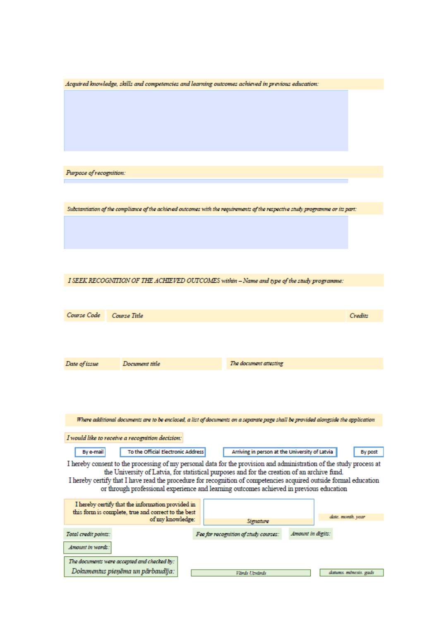| Acquired knowledge, skills and competencies and learning outcomes achieved in previous education:                              |                                                                                                                                                                                                                  |                       |
|--------------------------------------------------------------------------------------------------------------------------------|------------------------------------------------------------------------------------------------------------------------------------------------------------------------------------------------------------------|-----------------------|
|                                                                                                                                |                                                                                                                                                                                                                  |                       |
|                                                                                                                                |                                                                                                                                                                                                                  |                       |
|                                                                                                                                |                                                                                                                                                                                                                  |                       |
|                                                                                                                                |                                                                                                                                                                                                                  |                       |
|                                                                                                                                |                                                                                                                                                                                                                  |                       |
|                                                                                                                                |                                                                                                                                                                                                                  |                       |
| Purpose of recognition:                                                                                                        |                                                                                                                                                                                                                  |                       |
|                                                                                                                                |                                                                                                                                                                                                                  |                       |
|                                                                                                                                |                                                                                                                                                                                                                  |                       |
| Substantiation of the compliance of the achieved outcomes with the requirements of the respective study programme or its part: |                                                                                                                                                                                                                  |                       |
|                                                                                                                                |                                                                                                                                                                                                                  |                       |
|                                                                                                                                |                                                                                                                                                                                                                  |                       |
|                                                                                                                                |                                                                                                                                                                                                                  |                       |
|                                                                                                                                |                                                                                                                                                                                                                  |                       |
| I SEEK RECOGNITION OF THE ACHIEVED OUTCOMES within - Name and type of the study programme:                                     |                                                                                                                                                                                                                  |                       |
|                                                                                                                                |                                                                                                                                                                                                                  |                       |
|                                                                                                                                |                                                                                                                                                                                                                  |                       |
| Course Code<br>Course Title                                                                                                    |                                                                                                                                                                                                                  | Credits               |
|                                                                                                                                |                                                                                                                                                                                                                  |                       |
|                                                                                                                                |                                                                                                                                                                                                                  |                       |
| Document title<br>Date of issue                                                                                                | The document attesting                                                                                                                                                                                           |                       |
|                                                                                                                                |                                                                                                                                                                                                                  |                       |
|                                                                                                                                |                                                                                                                                                                                                                  |                       |
|                                                                                                                                |                                                                                                                                                                                                                  |                       |
|                                                                                                                                |                                                                                                                                                                                                                  |                       |
|                                                                                                                                | Where additional documents are to be enclosed, a list of documents on a separate page shall be provided alongside the application                                                                                |                       |
| I would like to receive a recognition decision:                                                                                |                                                                                                                                                                                                                  |                       |
| To the Official Electronic Address<br>By e-mail                                                                                | Arriving in person at the University of Latvia                                                                                                                                                                   | By post               |
| I hereby consent to the processing of my personal data for the provision and administration of the study process at            |                                                                                                                                                                                                                  |                       |
|                                                                                                                                | the University of Latvia, for statistical purposes and for the creation of an archive fund.<br>I hereby certify that I have read the procedure for recognition of competencies acquired outside formal education |                       |
|                                                                                                                                | or through professional experience and learning outcomes achieved in previous education                                                                                                                          |                       |
| I hereby certify that the information provided in                                                                              |                                                                                                                                                                                                                  |                       |
| this form is complete, true and correct to the best<br>of my knowledge:                                                        | Signature                                                                                                                                                                                                        | date. month. year     |
| Total credit points:                                                                                                           | Amount in digits:<br>Fee for recognition of study courses:                                                                                                                                                       |                       |
| Amount in words:                                                                                                               |                                                                                                                                                                                                                  |                       |
|                                                                                                                                |                                                                                                                                                                                                                  |                       |
| The documents were accepted and checked by:<br>Dokumentus pieņēma un pārbaudīja:                                               | Vards Uzvards                                                                                                                                                                                                    | datums. mēnesis. gads |
|                                                                                                                                |                                                                                                                                                                                                                  |                       |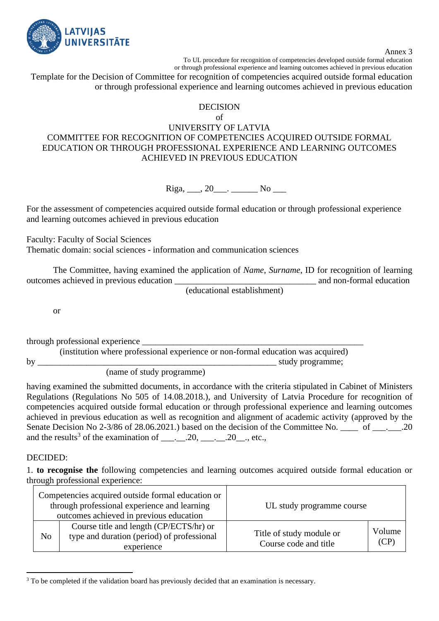

Annex 3

To UL procedure for recognition of competencies developed outside formal education or through professional experience and learning outcomes achieved in previous education

Template for the Decision of Committee for recognition of competencies acquired outside formal education or through professional experience and learning outcomes achieved in previous education

### DECISION

### of

### UNIVERSITY OF LATVIA COMMITTEE FOR RECOGNITION OF COMPETENCIES ACQUIRED OUTSIDE FORMAL EDUCATION OR THROUGH PROFESSIONAL EXPERIENCE AND LEARNING OUTCOMES ACHIEVED IN PREVIOUS EDUCATION

 $Riga, \_\_\_$ , 20 $\_\_\_\_\_\_\_\_\_\_\_\_\_\_\_\_\_\_$ 

For the assessment of competencies acquired outside formal education or through professional experience and learning outcomes achieved in previous education

Faculty: Faculty of Social Sciences

Thematic domain: social sciences - information and communication sciences

The Committee, having examined the application of *Name, Surname*, ID for recognition of learning outcomes achieved in previous education  $\Box$  and non-formal education

(educational establishment)

or

through professional experience \_\_\_\_\_\_\_\_\_\_\_\_\_\_\_\_\_\_\_\_\_\_\_\_\_\_\_\_\_\_\_\_\_\_\_\_\_\_\_\_\_\_\_\_\_\_\_\_\_\_

(institution where professional experience or non-formal education was acquired) by the contract of the contract of the contract of the study programme;  $\mathbf{S}$ (name of study programme)

having examined the submitted documents, in accordance with the criteria stipulated in Cabinet of Ministers Regulations (Regulations No 505 of 14.08.2018.), and University of Latvia Procedure for recognition of competencies acquired outside formal education or through professional experience and learning outcomes achieved in previous education as well as recognition and alignment of academic activity (approved by the Senate Decision No 2-3/86 of 28.06.2021.) based on the decision of the Committee No. \_\_\_\_ of \_\_\_. \_\_.20 and the results<sup>3</sup> of the examination of  $\_\_\_\_\_\_2$ . 20,  $\_\_\_\_\_\_2$ . etc.,

### DECIDED:

1. **to recognise the** following competencies and learning outcomes acquired outside formal education or through professional experience:

|                | Competencies acquired outside formal education or<br>through professional experience and learning<br>outcomes achieved in previous education | UL study programme course                         |                |
|----------------|----------------------------------------------------------------------------------------------------------------------------------------------|---------------------------------------------------|----------------|
| N <sub>o</sub> | Course title and length (CP/ECTS/hr) or<br>type and duration (period) of professional<br>experience                                          | Title of study module or<br>Course code and title | Volume<br>(CP) |

<sup>&</sup>lt;sup>3</sup> To be completed if the validation board has previously decided that an examination is necessary.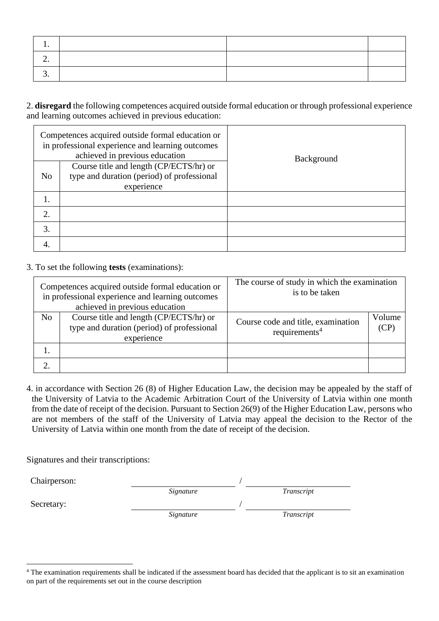| <u>.</u> |  |  |
|----------|--|--|
|          |  |  |

2. **disregard** the following competences acquired outside formal education or through professional experience and learning outcomes achieved in previous education:

|                | Competences acquired outside formal education or<br>in professional experience and learning outcomes<br>achieved in previous education | <b>Background</b> |
|----------------|----------------------------------------------------------------------------------------------------------------------------------------|-------------------|
| N <sub>o</sub> | Course title and length (CP/ECTS/hr) or<br>type and duration (period) of professional<br>experience                                    |                   |
|                |                                                                                                                                        |                   |
| 2.             |                                                                                                                                        |                   |
| 3.             |                                                                                                                                        |                   |
| 4.             |                                                                                                                                        |                   |

### 3. To set the following **tests** (examinations):

| Competences acquired outside formal education or<br>in professional experience and learning outcomes<br>achieved in previous education |                                                                                                     | The course of study in which the examination<br>is to be taken  |                |  |
|----------------------------------------------------------------------------------------------------------------------------------------|-----------------------------------------------------------------------------------------------------|-----------------------------------------------------------------|----------------|--|
| N <sub>o</sub>                                                                                                                         | Course title and length (CP/ECTS/hr) or<br>type and duration (period) of professional<br>experience | Course code and title, examination<br>requirements <sup>4</sup> | Volume<br>(CP) |  |
| 1.                                                                                                                                     |                                                                                                     |                                                                 |                |  |
|                                                                                                                                        |                                                                                                     |                                                                 |                |  |

4. in accordance with Section 26 (8) of Higher Education Law, the decision may be appealed by the staff of the University of Latvia to the Academic Arbitration Court of the University of Latvia within one month from the date of receipt of the decision. Pursuant to Section 26(9) of the Higher Education Law, persons who are not members of the staff of the University of Latvia may appeal the decision to the Rector of the University of Latvia within one month from the date of receipt of the decision.

Signatures and their transcriptions:

| Chairperson: |           |            |
|--------------|-----------|------------|
|              | Signature | Transcript |
| Secretary:   |           |            |
|              | Signature | Transcript |

<sup>&</sup>lt;sup>4</sup> The examination requirements shall be indicated if the assessment board has decided that the applicant is to sit an examination on part of the requirements set out in the course description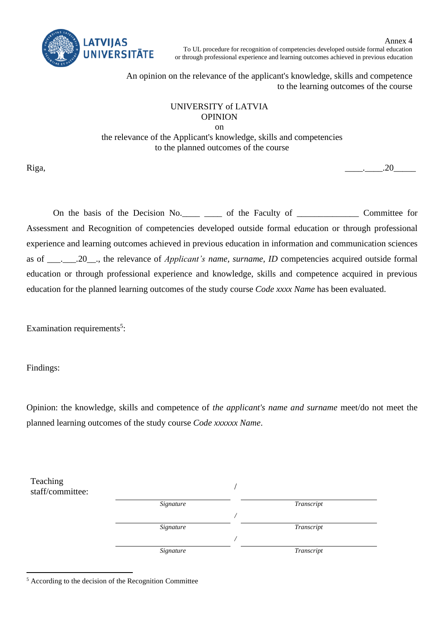

Annex 4 To UL procedure for recognition of competencies developed outside formal education or through professional experience and learning outcomes achieved in previous education

An opinion on the relevance of the applicant's knowledge, skills and competence to the learning outcomes of the course

## UNIVERSITY of LATVIA OPINION

on the relevance of the Applicant's knowledge, skills and competencies to the planned outcomes of the course

Riga, \_\_\_\_.\_\_\_\_.20\_\_\_\_\_

On the basis of the Decision No.  $\qquad$  of the Faculty of Committee for Assessment and Recognition of competencies developed outside formal education or through professional experience and learning outcomes achieved in previous education in information and communication sciences as of \_\_\_.\_\_\_.20\_\_., the relevance of *Applicant's name, surname, ID* competencies acquired outside formal education or through professional experience and knowledge, skills and competence acquired in previous education for the planned learning outcomes of the study course *Code xxxx Name* has been evaluated.

Examination requirements<sup>5</sup>:

Findings:

Opinion: the knowledge, skills and competence of *the applicant's name and surname* meet/do not meet the planned learning outcomes of the study course *Code xxxxxx Name*.

| Teaching<br>staff/committee: |           |            |  |
|------------------------------|-----------|------------|--|
|                              | Signature | Transcript |  |
|                              |           |            |  |
|                              | Signature | Transcript |  |
|                              |           |            |  |
|                              | Signature | Transcript |  |
|                              |           |            |  |

<sup>5</sup> According to the decision of the Recognition Committee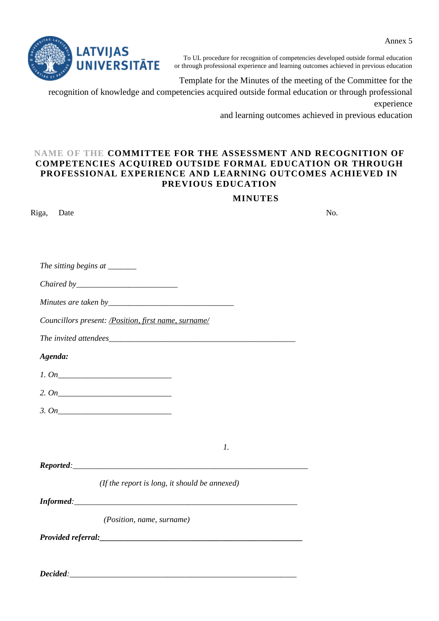

To UL procedure for recognition of competencies developed outside formal education or through professional experience and learning outcomes achieved in previous education

Template for the Minutes of the meeting of the Committee for the

recognition of knowledge and competencies acquired outside formal education or through professional experience

and learning outcomes achieved in previous education

### **NAME OF THE COMMITTEE FOR THE ASSESSMENT AND RECOGNITION OF COMPETENCIES ACQUIRED OUTSIDE FORMAL EDUCATION OR THROUGH PROFESSIONAL EXPERIENCE AND LEARNING OUTCOMES ACHIEVED IN PREVIOUS EDUCATION**

### **MINUTES**

| Riga,<br>Date                                         |                                               | No. |
|-------------------------------------------------------|-----------------------------------------------|-----|
|                                                       |                                               |     |
|                                                       |                                               |     |
| The sitting begins at ______                          |                                               |     |
|                                                       |                                               |     |
|                                                       |                                               |     |
| Councillors present: / Position, first name, surname/ |                                               |     |
|                                                       |                                               |     |
| Agenda:                                               |                                               |     |
| 1. On                                                 |                                               |     |
|                                                       |                                               |     |
|                                                       |                                               |     |
|                                                       |                                               |     |
|                                                       | $\mathfrak{1}.$                               |     |
|                                                       | Reported:                                     |     |
|                                                       | (If the report is long, it should be annexed) |     |
|                                                       |                                               |     |
| (Position, name, surname)                             |                                               |     |
|                                                       |                                               |     |
|                                                       |                                               |     |
| Decided:                                              |                                               |     |